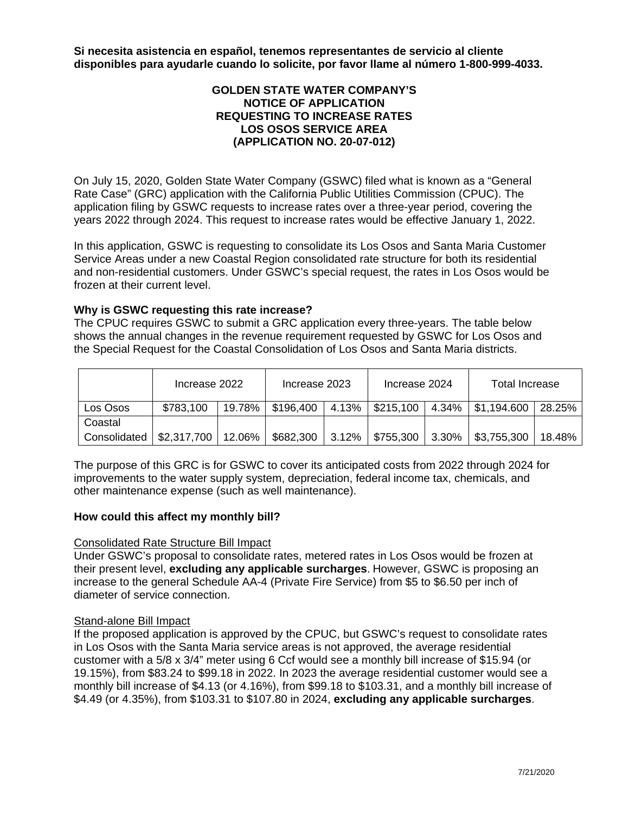**Si necesita asistencia en español, tenemos representantes de servicio al cliente disponibles para ayudarle cuando lo solicite, por favor llame al número 1-800-999-4033.**

## **GOLDEN STATE WATER COMPANY'S NOTICE OF APPLICATION REQUESTING TO INCREASE RATES LOS OSOS SERVICE AREA (APPLICATION NO. 20-07-012)**

On July 15, 2020, Golden State Water Company (GSWC) filed what is known as a "General Rate Case" (GRC) application with the California Public Utilities Commission (CPUC). The application filing by GSWC requests to increase rates over a three-year period, covering the years 2022 through 2024. This request to increase rates would be effective January 1, 2022.

In this application, GSWC is requesting to consolidate its Los Osos and Santa Maria Customer Service Areas under a new Coastal Region consolidated rate structure for both its residential and non-residential customers. Under GSWC's special request, the rates in Los Osos would be frozen at their current level.

## **Why is GSWC requesting this rate increase?**

The CPUC requires GSWC to submit a GRC application every three-years. The table below shows the annual changes in the revenue requirement requested by GSWC for Los Osos and the Special Request for the Coastal Consolidation of Los Osos and Santa Maria districts.

|              | Increase 2022        |        | Increase 2023 |       | Increase 2024     |       | Total Increase            |        |
|--------------|----------------------|--------|---------------|-------|-------------------|-------|---------------------------|--------|
| Los Osos     | \$783,100            | 19.78% | \$196,400     |       | 4.13%   \$215,100 | 4.34% | $\frac{1}{2}$ \$1,194.600 | 28.25% |
| Coastal      |                      |        |               |       |                   |       |                           |        |
| Consolidated | \$2,317,700   12.06% |        | \$682,300     | 3.12% | \$755,300         | 3.30% | \$3,755,300               | 18.48% |

The purpose of this GRC is for GSWC to cover its anticipated costs from 2022 through 2024 for improvements to the water supply system, depreciation, federal income tax, chemicals, and other maintenance expense (such as well maintenance).

## **How could this affect my monthly bill?**

## Consolidated Rate Structure Bill Impact

Under GSWC's proposal to consolidate rates, metered rates in Los Osos would be frozen at their present level, **excluding any applicable surcharges**. However, GSWC is proposing an increase to the general Schedule AA-4 (Private Fire Service) from \$5 to \$6.50 per inch of diameter of service connection.

## Stand-alone Bill Impact

If the proposed application is approved by the CPUC, but GSWC's request to consolidate rates in Los Osos with the Santa Maria service areas is not approved, the average residential customer with a 5/8 x 3/4" meter using 6 Ccf would see a monthly bill increase of \$15.94 (or 19.15%), from \$83.24 to \$99.18 in 2022. In 2023 the average residential customer would see a monthly bill increase of \$4.13 (or 4.16%), from \$99.18 to \$103.31, and a monthly bill increase of \$4.49 (or 4.35%), from \$103.31 to \$107.80 in 2024, **excluding any applicable surcharges**.